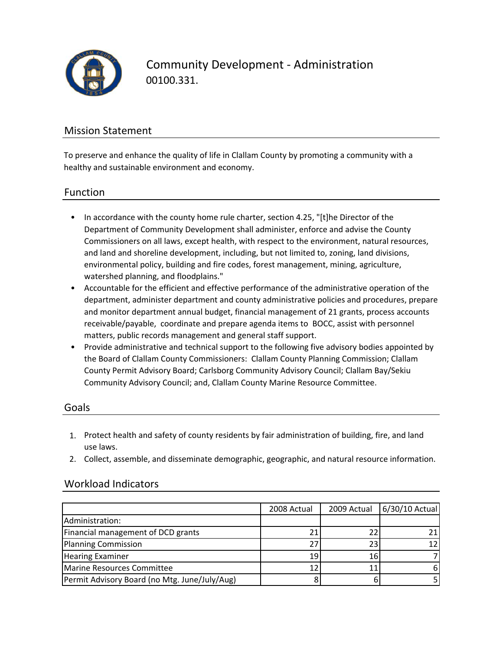

Community Development ‐ Administration 00100.331.

### Mission Statement

To preserve and enhance the quality of life in Clallam County by promoting a community with a healthy and sustainable environment and economy.

#### Function

- In accordance with the county home rule charter, section 4.25, "[t]he Director of the Department of Community Development shall administer, enforce and advise the County Commissioners on all laws, except health, with respect to the environment, natural resources, and land and shoreline development, including, but not limited to, zoning, land divisions, environmental policy, building and fire codes, forest management, mining, agriculture, watershed planning, and floodplains."
- Accountable for the efficient and effective performance of the administrative operation of the department, administer department and county administrative policies and procedures, prepare and monitor department annual budget, financial management of 21 grants, process accounts receivable/payable, coordinate and prepare agenda items to BOCC, assist with personnel matters, public records management and general staff support.
- Provide administrative and technical support to the following five advisory bodies appointed by the Board of Clallam County Commissioners: Clallam County Planning Commission; Clallam County Permit Advisory Board; Carlsborg Community Advisory Council; Clallam Bay/Sekiu Community Advisory Council; and, Clallam County Marine Resource Committee.

#### Goals

- 1. Protect health and safety of county residents by fair administration of building, fire, and land use laws.
- 2. Collect, assemble, and disseminate demographic, geographic, and natural resource information.

|                                               | 2008 Actual | 2009 Actual | 6/30/10 Actual |
|-----------------------------------------------|-------------|-------------|----------------|
| Administration:                               |             |             |                |
| Financial management of DCD grants            |             |             |                |
| Planning Commission                           | 27.         | 23          |                |
| <b>Hearing Examiner</b>                       | 19          | 16          |                |
| Marine Resources Committee                    |             |             |                |
| Permit Advisory Board (no Mtg. June/July/Aug) |             |             |                |

### Workload Indicators